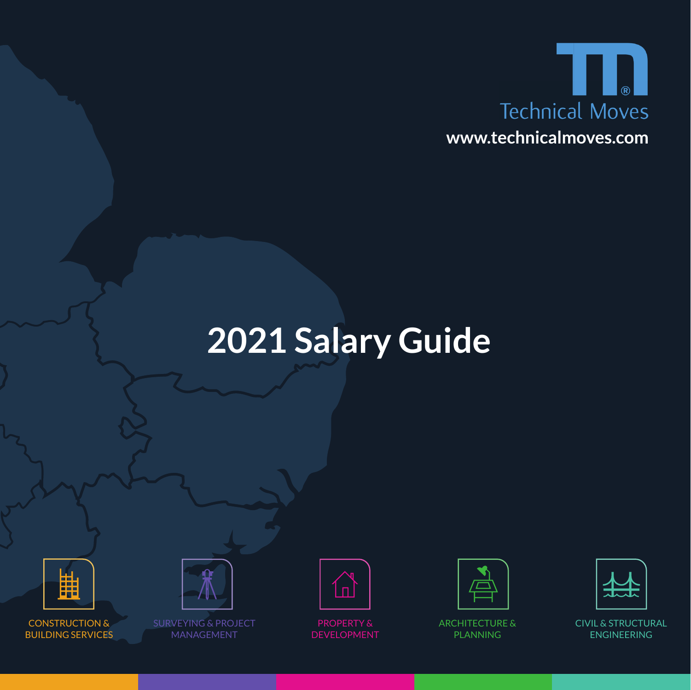

# **2021 Salary Guide**



CONSTRUCTION & BUILDING SERVICES



**CONSTRUCTION & SURVEYING & PROJECT ARCHITECTURE ARCHITECTURE A** CIVIL & STRUCTURAL MANAGEMENT



PROPERTY & DEVELOPMENT



PLANNING



CIVIL & STRUCTURAL ENGINEERING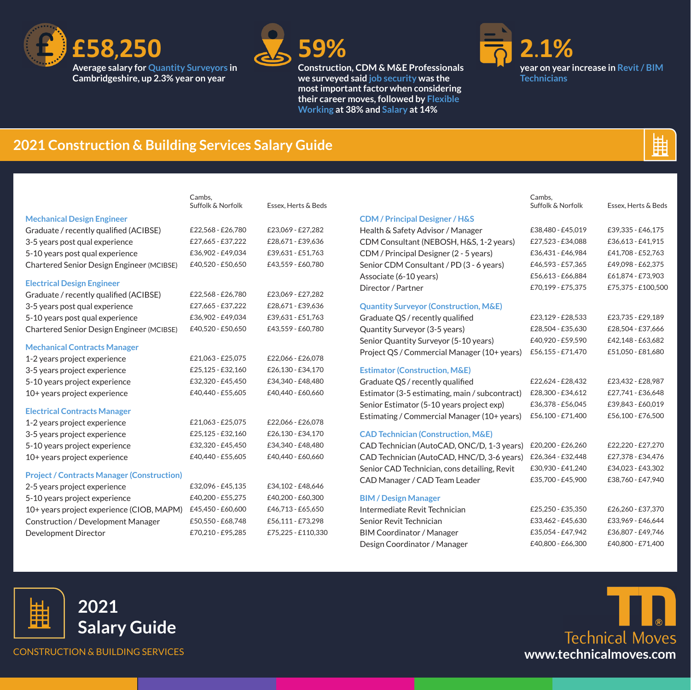



**Construction, CDM & M&E Professionals we surveyed said job security was the most important factor when considering their career moves, followed by Flexible Working at 38% and Salary at 14%**



峀

Cambs,

## **2021 Construction & Building Services Salary Guide**

|                                                   | Cambs.<br>Suffolk & Norfolk | Essex, Herts & Beds |
|---------------------------------------------------|-----------------------------|---------------------|
| <b>Mechanical Design Engineer</b>                 |                             |                     |
| Graduate / recently qualified (ACIBSE)            | £22,568 - £26,780           | £23,069 - £27,282   |
| 3-5 years post qual experience                    | £27,665 - £37,222           | £28,671-£39,636     |
| 5-10 years post qual experience                   | £36,902 - £49,034           | £39,631 - £51,763   |
| Chartered Senior Design Engineer (MCIBSE)         | £40,520 - £50,650           | £43,559 - £60,780   |
| <b>Electrical Design Engineer</b>                 |                             |                     |
| Graduate / recently qualified (ACIBSE)            | £22,568 - £26,780           | £23,069 - £27,282   |
| 3-5 years post qual experience                    | £27,665 - £37,222           | £28,671-£39,636     |
| 5-10 years post qual experience                   | £36,902 - £49,034           | £39,631 - £51,763   |
| Chartered Senior Design Engineer (MCIBSE)         | £40,520 - £50,650           | £43,559 - £60,780   |
| <b>Mechanical Contracts Manager</b>               |                             |                     |
| 1-2 years project experience                      | £21,063 - £25,075           | £22,066 - £26,078   |
| 3-5 years project experience                      | £25,125 - £32,160           | £26,130 - £34,170   |
| 5-10 years project experience                     | £32,320 - £45,450           | £34,340 - £48,480   |
| 10+ years project experience                      | £40,440 - £55,605           | £40,440 - £60,660   |
| <b>Electrical Contracts Manager</b>               |                             |                     |
| 1-2 years project experience                      | £21,063 - £25,075           | £22,066 - £26,078   |
| 3-5 years project experience                      | £25,125 - £32,160           | £26,130 - £34,170   |
| 5-10 years project experience                     | £32,320 - £45,450           | £34,340 - £48,480   |
| 10+ years project experience                      | £40,440 - £55,605           | £40,440 - £60,660   |
| <b>Project / Contracts Manager (Construction)</b> |                             |                     |
| 2-5 years project experience                      | £32,096 - £45,135           | £34,102 - £48,646   |
| 5-10 years project experience                     | £40,200 - £55,275           | £40,200 - £60,300   |
| 10+ years project experience (CIOB, MAPM)         | £45,450 - £60,600           | £46,713 - £65,650   |
| Construction / Development Manager                | £50,550 - £68,748           | £56,111 - £73,298   |
| Development Director                              | £70,210 - £95,285           | £75,225 - £110,330  |
|                                                   |                             |                     |

|                                                  | Suffolk & Norfolk | Essex, Herts & Beds |
|--------------------------------------------------|-------------------|---------------------|
| <b>CDM / Principal Designer / H&amp;S</b>        |                   |                     |
| Health & Safety Advisor / Manager                | £38,480 - £45,019 | £39,335 - £46,175   |
| CDM Consultant (NEBOSH, H&S, 1-2 years)          | £27,523 - £34,088 | £36,613 - £41,915   |
| CDM / Principal Designer (2 - 5 years)           | £36,431 - £46,984 | £41,708 - £52,763   |
| Senior CDM Consultant / PD (3 - 6 years)         | £46,593 - £57,365 | £49,098 - £62,375   |
| Associate (6-10 years)                           | £56,613 - £66,884 | £61,874 - £73,903   |
| Director / Partner                               | £70,199 - £75,375 | £75,375 - £100,500  |
| <b>Quantity Surveyor (Construction, M&amp;E)</b> |                   |                     |
| Graduate QS / recently qualified                 | £23,129 - £28,533 | £23,735 - £29,189   |
| Quantity Surveyor (3-5 years)                    | £28,504 - £35,630 | £28,504 - £37,666   |
| Senior Quantity Surveyor (5-10 years)            | £40,920 - £59,590 | £42,148 - £63,682   |
| Project QS / Commercial Manager (10+ years)      | £56,155 - £71,470 | £51,050 - £81,680   |
| <b>Estimator (Construction, M&amp;E)</b>         |                   |                     |
| Graduate QS / recently qualified                 | £22,624 - £28,432 | £23,432 - £28,987   |
| Estimator (3-5 estimating, main / subcontract)   | £28,300 - £34,612 | £27,741 - £36,648   |
| Senior Estimator (5-10 years project exp)        | £36,378 - £56,045 | £39,843 - £60,019   |
| Estimating / Commercial Manager (10+ years)      | £56,100 - £71,400 | £56,100 - £76,500   |
| <b>CAD Technician (Construction, M&amp;E)</b>    |                   |                     |
| CAD Technician (AutoCAD, ONC/D, 1-3 years)       | £20,200 - £26,260 | £22,220 - £27,270   |
| CAD Technician (AutoCAD, HNC/D, 3-6 years)       | £26,364 - £32,448 | £27,378 - £34,476   |
| Senior CAD Technician, cons detailing, Revit     | £30,930 - £41,240 | £34,023 - £43,302   |
| CAD Manager / CAD Team Leader                    | £35,700 - £45,900 | £38,760 - £47,940   |
| <b>BIM / Design Manager</b>                      |                   |                     |
| Intermediate Revit Technician                    | £25,250 - £35,350 | £26,260 - £37,370   |
| Senior Revit Technician                          | £33,462 - £45,630 | £33,969 - £46,644   |
| BIM Coordinator / Manager                        | £35,054 - £47,942 | £36,807 - £49,746   |
| Design Coordinator / Manager                     | £40,800 - £66,300 | £40,800 - £71,400   |



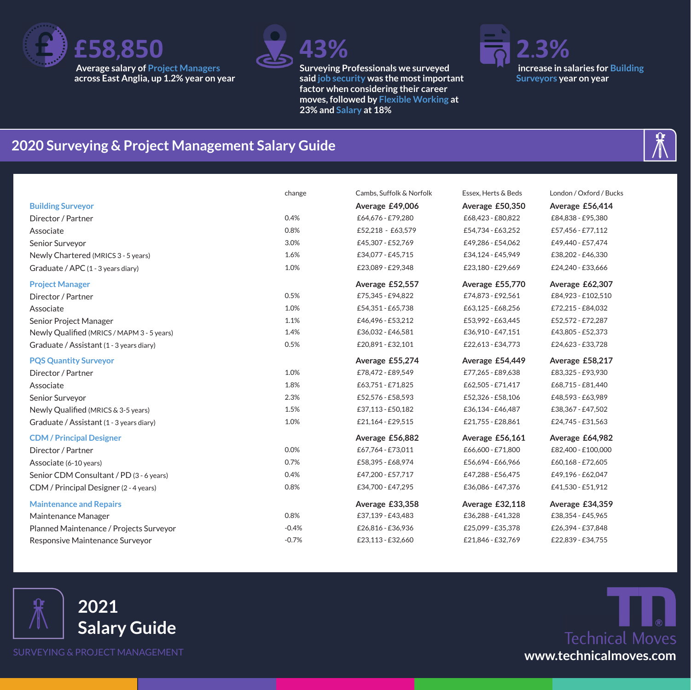



**Surveying Professionals we surveyed said job security was the most important factor when considering their career moves, followed by Flexible Working at 23% and Salary at 18%** 



### **2020 Surveying & Project Management Salary Guide**

|                                            | change  | Cambs, Suffolk & Norfolk | Essex. Herts & Beds | London / Oxford / Bucks |
|--------------------------------------------|---------|--------------------------|---------------------|-------------------------|
| <b>Building Surveyor</b>                   |         | Average £49,006          | Average £50,350     | Average £56,414         |
| Director / Partner                         | 0.4%    | £64,676 - £79,280        | £68,423 - £80,822   | £84,838 - £95,380       |
| Associate                                  | 0.8%    | £52,218 - £63,579        | £54,734 - £63,252   | £57,456 - £77,112       |
| Senior Surveyor                            | 3.0%    | £45,307 - £52,769        | £49,286 - £54,062   | £49,440 - £57,474       |
| Newly Chartered (MRICS 3 - 5 years)        | 1.6%    | £34,077 - £45,715        | £34.124 - £45.949   | £38,202 - £46,330       |
| Graduate / APC (1 - 3 years diary)         | 1.0%    | £23,089 - £29,348        | £23,180 - £29,669   | £24,240 - £33,666       |
| <b>Project Manager</b>                     |         | Average £52,557          | Average £55,770     | Average £62,307         |
| Director / Partner                         | 0.5%    | £75,345 - £94,822        | £74,873 - £92,561   | £84,923 - £102,510      |
| Associate                                  | 1.0%    | £54,351 - £65,738        | £63,125 - £68,256   | £72,215 - £84,032       |
| Senior Project Manager                     | 1.1%    | £46,496 - £53,212        | £53,992 - £63,445   | £52,572 - £72,287       |
| Newly Qualified (MRICS / MAPM 3 - 5 years) | 1.4%    | £36,032 - £46,581        | £36,910 - £47,151   | £43,805 - £52,373       |
| Graduate / Assistant (1 - 3 years diary)   | 0.5%    | £20,891-£32,101          | £22,613 - £34,773   | £24,623 - £33,728       |
| <b>PQS Quantity Surveyor</b>               |         | Average £55,274          | Average £54,449     | Average £58,217         |
| Director / Partner                         | 1.0%    | £78,472 - £89,549        | £77,265 - £89,638   | £83,325 - £93,930       |
| Associate                                  | 1.8%    | £63,751-£71,825          | £62,505 - £71,417   | £68,715 - £81,440       |
| Senior Surveyor                            | 2.3%    | £52,576 - £58,593        | £52,326 - £58,106   | £48,593 - £63,989       |
| Newly Qualified (MRICS & 3-5 years)        | 1.5%    | £37,113 - £50,182        | £36.134 - £46.487   | £38,367 - £47,502       |
| Graduate / Assistant (1 - 3 years diary)   | 1.0%    | £21,164 - £29,515        | £21,755 - £28,861   | £24,745 - £31,563       |
| <b>CDM/Principal Designer</b>              |         | Average £56,882          | Average £56,161     | Average £64,982         |
| Director / Partner                         | 0.0%    | £67.764 - £73.011        | £66,600 - £71,800   | £82,400 - £100,000      |
| Associate (6-10 years)                     | 0.7%    | £58,395 - £68,974        | £56,694 - £66,966   | £60,168 - £72,605       |
| Senior CDM Consultant / PD (3 - 6 years)   | 0.4%    | £47,200 - £57,717        | £47,288 - £56,475   | £49,196 - £62,047       |
| CDM / Principal Designer (2 - 4 years)     | 0.8%    | £34,700 - £47,295        | £36,086 - £47,376   | £41,530 - £51,912       |
| <b>Maintenance and Repairs</b>             |         | Average £33,358          | Average £32,118     | Average £34,359         |
| Maintenance Manager                        | 0.8%    | £37,139 - £43,483        | £36,288 - £41,328   | £38,354 - £45,965       |
| Planned Maintenance / Projects Surveyor    | $-0.4%$ | £26,816 - £36,936        | £25,099 - £35,378   | £26,394 - £37,848       |
| Responsive Maintenance Surveyor            | $-0.7%$ | £23,113 - £32,660        | £21,846 - £32,769   | £22,839 - £34,755       |



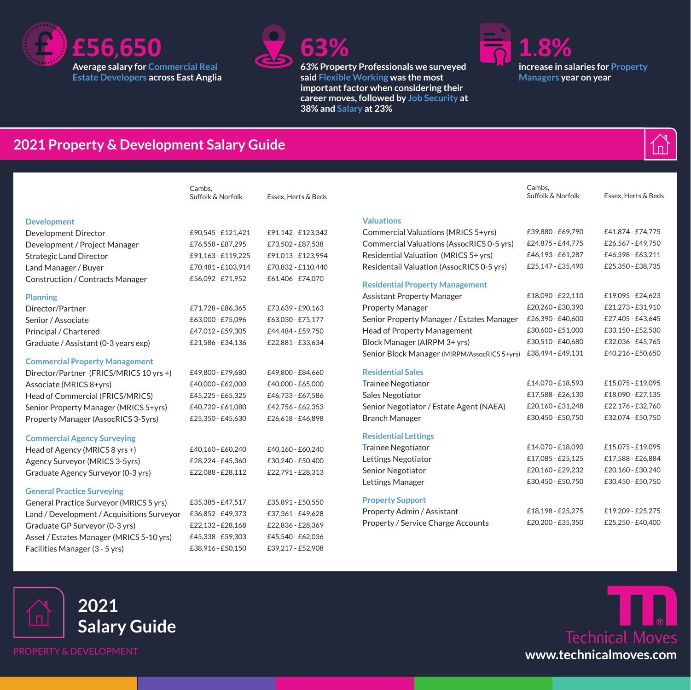



**63% Property Professionals we surveyed said Flexible Working was the most important factor when considering their career moves, followed by Job Security at 38% and Salary at 23%** 



### **2021 Property & Development Salary Guide**

|                                            | Cambs,<br>Suffolk & Norfolk | Essex. Herts & Beds |                                              | Cambs,<br>Suffolk & Norfolk | Essex, Herts & Beds |
|--------------------------------------------|-----------------------------|---------------------|----------------------------------------------|-----------------------------|---------------------|
| <b>Development</b>                         |                             |                     | <b>Valuations</b>                            |                             |                     |
| <b>Development Director</b>                | £90.545 - £121.421          | £91,142 - £123,342  | Commercial Valuations (MRICS 5+yrs)          | £39,880 - £69,790           | £41,874 - £74,775   |
| Development / Project Manager              | £76,558 - £87,295           | £73,502 - £87,538   | Commercial Valuations (AssocRICS 0-5 yrs)    | £24,875 - £44,775           | £26,567 - £49,750   |
| <b>Strategic Land Director</b>             | £91,163 - £119,225          | £91,013 - £123,994  | Residential Valuation (MRICS 5+ yrs)         | £46.193 - £61.287           | £46,598 - £63,211   |
| Land Manager / Buyer                       | £70,481 - £103,914          | £70,832 - £110,440  | Residentail Valuation (AssocRICS 0-5 yrs)    | £25,147 - £35,490           | £25,350 - £38,735   |
| Construction / Contracts Manager           | £56,092 - £71,952           | £61,406 - £74,070   | <b>Residential Property Management</b>       |                             |                     |
| <b>Planning</b>                            |                             |                     | <b>Assistant Property Manager</b>            | £18.090 - £22.110           | £19,095 - £24,623   |
| Director/Partner                           | £71.728 - £86.365           | £73,639 - £90,163   | <b>Property Manager</b>                      | £20,260 - £30,390           | £21,273 - £31,910   |
| Senior / Associate                         | £63,000 - £75,096           | £63,030 - £75,177   | Senior Property Manager / Estates Manager    | £26,390 - £40,600           | £27,405 - £43,645   |
| Principal / Chartered                      | £47,012 - £59,305           | £44,484 - £59,750   | Head of Property Management                  | £30,600 - £51,000           | £33,150 - £52,530   |
| Graduate / Assistant (0-3 years exp)       | £21,586 - £34,136           | £22,881 - £33,634   | Block Manager (AIRPM 3+ yrs)                 | £30,510 - £40,680           | £32,036 - £45,765   |
| <b>Commercial Property Management</b>      |                             |                     | Senior Block Manager (MIRPM/AssocRICS 5+yrs) | £38,494 - £49,131           | £40,216 - £50,650   |
| Director/Partner (FRICS/MRICS 10 yrs +)    | £49,800 - £79,680           | £49,800 - £84,660   | <b>Residential Sales</b>                     |                             |                     |
| Associate (MRICS 8+yrs)                    | £40,000 - £62,000           | £40,000 - £65,000   | <b>Trainee Negotiator</b>                    | £14.070 - £18.593           | £15,075 - £19,095   |
| Head of Commercial (FRICS/MRICS)           | £45,225 - £65,325           | £46,733 - £67,586   | Sales Negotiator                             | £17,588 - £26,130           | £18,090 - £27,135   |
| Senior Property Manager (MRICS 5+yrs)      | £40,720 - £61,080           | £42,756 - £62,353   | Senior Negotiator / Estate Agent (NAEA)      | £20,160 - £31,248           | £22,176 - £32,760   |
| Property Manager (AssocRICS 3-5yrs)        | £25,350 - £45,630           | £26,618 - £46,898   | <b>Branch Manager</b>                        | £30,450 - £50,750           | £32,074 - £50,750   |
| <b>Commercial Agency Surveying</b>         |                             |                     | <b>Residential Lettings</b>                  |                             |                     |
| Head of Agency (MRICS 8 yrs +)             | £40,160 - £60,240           | £40,160 - £60,240   | <b>Trainee Negotiator</b>                    | £14.070 - £18.090           | £15,075 - £19,095   |
| Agency Surveyor (MRICS 3-5yrs)             | £28,224 - £45,360           | £30,240 - £50,400   | Lettings Negotiator                          | £17,085 - £25,125           | £17,588 - £26,884   |
| Graduate Agency Surveyor (0-3 yrs)         | £22,088 - £28,112           | £22,791 - £28,313   | Senior Negotiator                            | £20,160 - £29,232           | £20,160 - £30,240   |
| <b>General Practice Surveying</b>          |                             |                     | Lettings Manager                             | £30,450 - £50,750           | £30,450 - £50,750   |
| General Practice Surveyor (MRICS 5 yrs)    | £35,385 - £47,517           | £35,891 - £50,550   | <b>Property Support</b>                      |                             |                     |
| Land / Development / Acquisitions Surveyor | £36,852 - £49,373           | £37,361-£49,628     | Property Admin / Assistant                   | £18,198 - £25,275           | £19,209 - £25,275   |
| Graduate GP Surveyor (0-3 yrs)             | £22,132 - £28,168           | £22,836 - £28,369   | Property / Service Charge Accounts           | £20.200 - £35.350           | £25.250 - £40.400   |
| Asset / Estates Manager (MRICS 5-10 yrs)   | £45,338 - £59,303           | £45,540 - £62,036   |                                              |                             |                     |
| Facilities Manager (3 - 5 yrs)             | £38,916 - £50,150           | £39,217 - £52,908   |                                              |                             |                     |





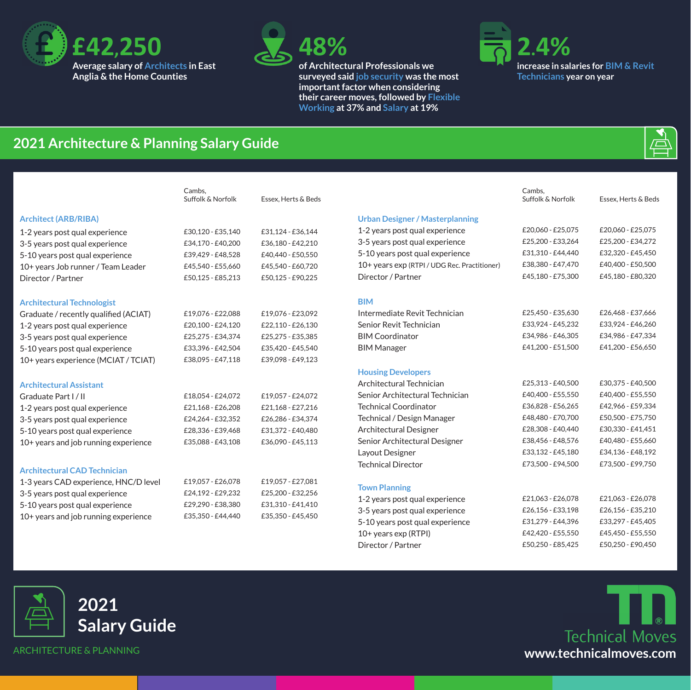



**of Architectural Professionals we surveyed said job security was the most important factor when considering their career moves, followed by Flexible Working at 37% and Salary at 19%** 



Cambs,<br>Suffolk & Norfolk

#### **2021 Architecture & Planning Salary Guide**

|                                       | Cambs.            |                     |
|---------------------------------------|-------------------|---------------------|
|                                       | Suffolk & Norfolk | Essex, Herts & Beds |
| <b>Architect (ARB/RIBA)</b>           |                   |                     |
| 1-2 years post qual experience        | £30,120 - £35,140 | £31,124 - £36,144   |
| 3-5 years post qual experience        | £34,170 - £40,200 | £36,180 - £42,210   |
| 5-10 years post qual experience       | £39,429 - £48,528 | £40,440 - £50,550   |
| 10+ years Job runner / Team Leader    | £45,540 - £55,660 | £45,540 - £60,720   |
| Director / Partner                    | £50,125 - £85,213 | £50,125 - £90,225   |
|                                       |                   |                     |
| <b>Architectural Technologist</b>     |                   |                     |
| Graduate / recently qualified (ACIAT) | £19,076 - £22,088 | £19,076 - £23,092   |
| 1-2 years post qual experience        | £20,100 - £24,120 | £22,110 - £26,130   |
| 3-5 years post qual experience        | £25,275 - £34,374 | £25,275 - £35,385   |
| 5-10 years post qual experience       | £33,396 - £42,504 | £35,420 - £45,540   |
| 10+ years experience (MCIAT / TCIAT)  | £38,095 - £47,118 | £39,098 - £49,123   |
|                                       |                   |                     |
| <b>Architectural Assistant</b>        |                   |                     |
| Graduate Part I/II                    | £18,054 - £24,072 | £19,057 - £24,072   |
| 1-2 years post qual experience        | £21,168 - £26,208 | £21,168 - £27,216   |
| 3-5 years post qual experience        | £24,264 - £32,352 | £26,286 - £34,374   |
| 5-10 years post qual experience       | £28,336 - £39,468 | £31,372 - £40,480   |
| 10+ years and job running experience  | £35,088 - £43,108 | £36,090 - £45,113   |
|                                       |                   |                     |
| <b>Architectural CAD Technician</b>   |                   |                     |
| 1-3 years CAD experience, HNC/D level | £19,057 - £26,078 | £19,057 - £27,081   |
| 3-5 years post qual experience        | £24,192 - £29,232 | £25,200 - £32,256   |
| 5-10 years post qual experience       | £29,290 - £38,380 | £31,310 - £41,410   |
| 10+ years and job running experience  | £35,350 - £44,440 | £35,350 - £45,450   |
|                                       |                   |                     |

#### **Urban Designer / Masterplanning**

| 1-2 years post qual experience               | £20,060 - £25,075 | £20,060 - £25,075 |
|----------------------------------------------|-------------------|-------------------|
| 3-5 years post qual experience               | £25,200 - £33,264 | £25.200 - £34.272 |
| 5-10 years post qual experience              | £31,310 - £44,440 | £32,320 - £45,450 |
| 10+ years exp (RTPI / UDG Rec. Practitioner) | £38,380 - £47,470 | £40,400 - £50,500 |
| Director / Partner                           | £45,180 - £75,300 | £45.180 - £80.320 |
|                                              |                   |                   |
| <b>BIM</b>                                   |                   |                   |
| Intermediate Revit Technician                | £25,450 - £35,630 | £26,468 - £37,666 |
| Senior Revit Technician                      | £33,924 - £45,232 | £33,924 - £46,260 |
| <b>BIM Coordinator</b>                       | £34,986 - £46,305 | £34,986 - £47,334 |
| <b>BIM Manager</b>                           | £41,200 - £51,500 | £41,200 - £56,650 |
|                                              |                   |                   |
| <b>Housing Developers</b>                    |                   |                   |
| Architectural Technician                     | £25,313 - £40,500 | £30,375 - £40,500 |
| Senior Architectural Technician              | £40.400 - £55.550 | £40.400 - £55.550 |
| <b>Technical Coordinator</b>                 | £36,828 - £56,265 | £42,966 - £59,334 |
| Technical / Design Manager                   | £48,480 - £70,700 | £50,500 - £75,750 |
| Architectural Designer                       | £28,308 - £40,440 | £30,330 - £41,451 |
| Senior Architectural Designer                | £38,456 - £48,576 | £40,480 - £55,660 |
| Layout Designer                              | £33,132 - £45,180 | £34,136 - £48,192 |
| <b>Technical Director</b>                    | £73,500 - £94,500 | £73,500 - £99,750 |
|                                              |                   |                   |
| <b>Town Planning</b>                         |                   |                   |
| 1-2 years post qual experience               | £21,063 - £26,078 | £21,063 - £26,078 |
| 3-5 years post qual experience               | £26.156 - £33.198 | £26.156 - £35.210 |
| 5-10 years post qual experience              | £31,279 - £44,396 | £33,297 - £45,405 |

10+ years exp (RTPI) £42,420 - £55,550 £45,450 - £55,550 Director / Partner <br> £50,250 - £85,425 £50,250 - £90,450







Essex, Herts & Beds